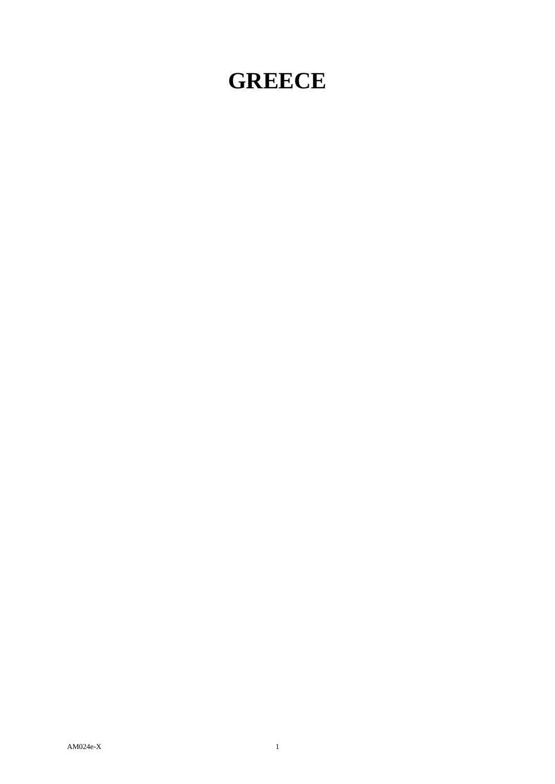## **GREECE**